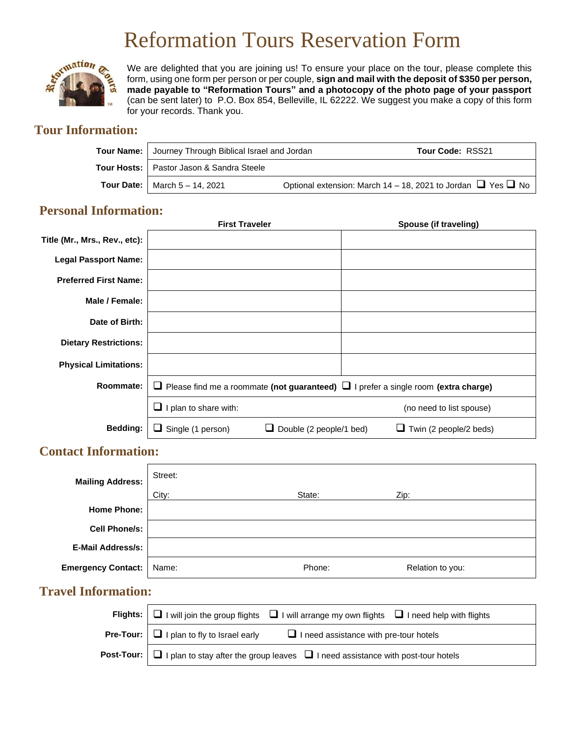# Reformation Tours Reservation Form



We are delighted that you are joining us! To ensure your place on the tour, please complete this form, using one form per person or per couple, **sign and mail with the deposit of \$350 per person, made payable to "Reformation Tours" and a photocopy of the photo page of your passport** (can be sent later) to P.O. Box 854, Belleville, IL 62222. We suggest you make a copy of this form for your records. Thank you.

# **Tour Information:**

| Tour Name: Journey Through Biblical Israel and Jordan | Tour Code: RSS21                                                       |
|-------------------------------------------------------|------------------------------------------------------------------------|
| Tour Hosts:   Pastor Jason & Sandra Steele            |                                                                        |
| <b>Tour Date:</b>   March $5 - 14$ , 2021             | Optional extension: March 14 – 18, 2021 to Jordan $\Box$ Yes $\Box$ No |

## **Personal Information:**

|                               | <b>First Traveler</b>                                                                          | Spouse (if traveling)                                  |
|-------------------------------|------------------------------------------------------------------------------------------------|--------------------------------------------------------|
| Title (Mr., Mrs., Rev., etc): |                                                                                                |                                                        |
| <b>Legal Passport Name:</b>   |                                                                                                |                                                        |
| <b>Preferred First Name:</b>  |                                                                                                |                                                        |
| Male / Female:                |                                                                                                |                                                        |
| Date of Birth:                |                                                                                                |                                                        |
| <b>Dietary Restrictions:</b>  |                                                                                                |                                                        |
| <b>Physical Limitations:</b>  |                                                                                                |                                                        |
| Roommate:                     | $\Box$ Please find me a roommate (not guaranteed) $\Box$ I prefer a single room (extra charge) |                                                        |
|                               | I plan to share with:                                                                          | (no need to list spouse)                               |
| Bedding:                      | $\Box$ Single (1 person)                                                                       | Double (2 people/1 bed)<br>Twin (2 people/2 beds)<br>⊔ |

## **Contact Information:**

| <b>Mailing Address:</b>   | Street: |        |                  |  |
|---------------------------|---------|--------|------------------|--|
|                           | City:   | State: | Zip:             |  |
| <b>Home Phone:</b>        |         |        |                  |  |
| <b>Cell Phone/s:</b>      |         |        |                  |  |
| <b>E-Mail Address/s:</b>  |         |        |                  |  |
| <b>Emergency Contact:</b> | Name:   | Phone: | Relation to you: |  |

# **Travel Information:**

| Flights: $\Box$ I will join the group flights $\Box$ I will arrange my own flights $\Box$ I need help with flights |
|--------------------------------------------------------------------------------------------------------------------|
| <b>Pre-Tour:</b> $\Box$ I plan to fly to Israel early $\Box$ I need assistance with pre-tour hotels                |
| <b>Post-Tour:</b> $\Box$ I plan to stay after the group leaves $\Box$ I need assistance with post-tour hotels      |